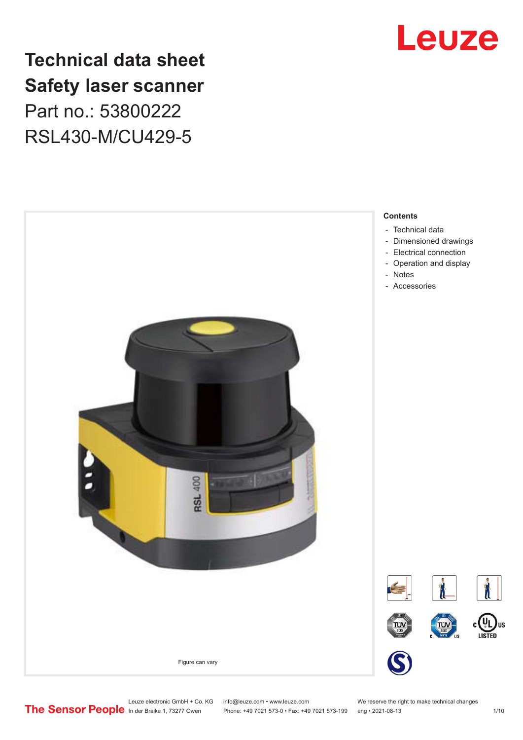

**Technical data sheet Safety laser scanner** Part no.: 53800222 RSL430-M/CU429-5



Leuze electronic GmbH + Co. KG info@leuze.com • www.leuze.com We reserve the right to make technical changes<br>
The Sensor People in der Braike 1, 73277 Owen Phone: +49 7021 573-0 • Fax: +49 7021 573-199 eng • 2021-08-13

Phone: +49 7021 573-0 • Fax: +49 7021 573-199 eng • 2021-08-13 1/10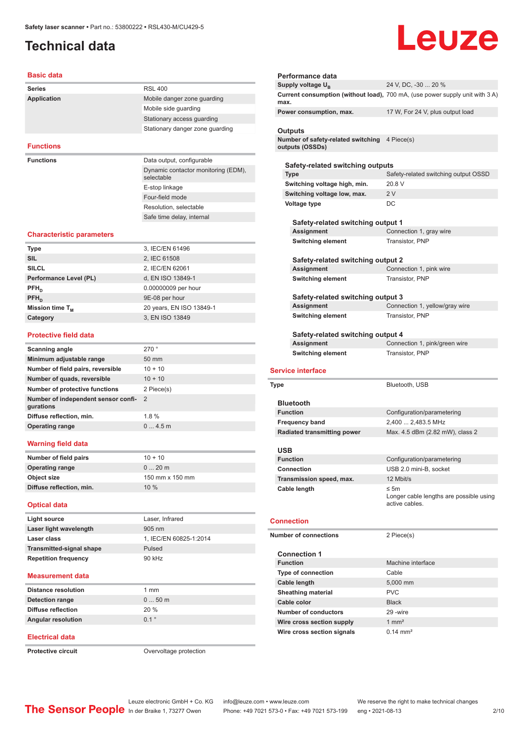# <span id="page-1-0"></span>**Technical data**

# Leuze

#### **Basic data**

| --------           |                                                   |
|--------------------|---------------------------------------------------|
| <b>Series</b>      | <b>RSL 400</b>                                    |
| <b>Application</b> | Mobile danger zone quarding                       |
|                    | Mobile side quarding                              |
|                    | Stationary access guarding                        |
|                    | Stationary danger zone guarding                   |
|                    |                                                   |
| <b>Functions</b>   |                                                   |
| <b>Functions</b>   | Data output, configurable                         |
|                    | Dynamic contactor monitoring (EDM),<br>selectable |
|                    | E-stop linkage                                    |
|                    | Four-field mode                                   |
|                    | Resolution, selectable                            |

#### **Characteristic parameters**

| <b>Type</b>            | 3, IEC/EN 61496          |
|------------------------|--------------------------|
| <b>SIL</b>             | 2, IEC 61508             |
| <b>SILCL</b>           | 2, IEC/EN 62061          |
| Performance Level (PL) | d, EN ISO 13849-1        |
| $PFH_n$                | 0.00000009 per hour      |
| $PFH_n$                | 9E-08 per hour           |
| Mission time $T_{M}$   | 20 years, EN ISO 13849-1 |
| Category               | 3, EN ISO 13849          |
|                        |                          |

Safe time delay, internal

#### **Protective field data**

| Scanning angle                                   | 270°            |
|--------------------------------------------------|-----------------|
| Minimum adjustable range                         | $50 \text{ mm}$ |
| Number of field pairs, reversible                | $10 + 10$       |
| Number of quads, reversible                      | $10 + 10$       |
| Number of protective functions                   | 2 Piece(s)      |
| Number of independent sensor confi-<br>gurations | $\mathcal{P}$   |
| Diffuse reflection, min.                         | $1.8 \%$        |
| <b>Operating range</b>                           | 04.5m           |
|                                                  |                 |

#### **Warning field data**

| Number of field pairs    | $10 + 10$       |
|--------------------------|-----------------|
| <b>Operating range</b>   | $020$ m         |
| Object size              | 150 mm x 150 mm |
| Diffuse reflection, min. | 10%             |

#### **Optical data**

| Light source                    | Laser, Infrared        |
|---------------------------------|------------------------|
| Laser light wavelength          | $905 \text{ nm}$       |
| Laser class                     | 1, IEC/EN 60825-1:2014 |
| <b>Transmitted-signal shape</b> | Pulsed                 |
| <b>Repetition frequency</b>     | 90 kHz                 |
|                                 |                        |

#### **Measurement data**

| Distance resolution       | 1 mm    |
|---------------------------|---------|
| Detection range           | $050$ m |
| <b>Diffuse reflection</b> | 20%     |
| <b>Angular resolution</b> | 01°     |
|                           |         |

#### **Electrical data**

**Protective circuit COVER 1999** Overvoltage protection

| Performance data                                                 |                                                                              |
|------------------------------------------------------------------|------------------------------------------------------------------------------|
| Supply voltage U <sub>B</sub>                                    | 24 V, DC, -30  20 %                                                          |
| max.                                                             | Current consumption (without load), 700 mA, (use power supply unit with 3 A) |
| Power consumption, max.                                          | 17 W, For 24 V, plus output load                                             |
| Outputs                                                          |                                                                              |
| Number of safety-related switching 4 Piece(s)<br>outputs (OSSDs) |                                                                              |
| Safety-related switching outputs<br>Type                         | Safety-related switching output OSSD                                         |
| Switching voltage high, min.                                     | 20.8 V                                                                       |
| Switching voltage low, max.                                      | 2V                                                                           |
| Voltage type                                                     | DC                                                                           |
| Safety-related switching output 1                                |                                                                              |
| Assignment                                                       | Connection 1, gray wire                                                      |
| <b>Switching element</b>                                         | Transistor, PNP                                                              |
| Safety-related switching output 2                                | Connection 1, pink wire                                                      |
| Assignment                                                       |                                                                              |
| <b>Switching element</b>                                         | Transistor, PNP                                                              |
| Safety-related switching output 3                                |                                                                              |
| <b>Assignment</b>                                                | Connection 1, yellow/gray wire                                               |
| <b>Switching element</b>                                         | Transistor, PNP                                                              |
|                                                                  |                                                                              |
| Safety-related switching output 4                                |                                                                              |
| Assignment<br><b>Switching element</b>                           | Connection 1, pink/green wire<br>Transistor, PNP                             |
| <b>Service interface</b>                                         |                                                                              |
| Type                                                             | Bluetooth, USB                                                               |
| <b>Bluetooth</b>                                                 |                                                                              |
| <b>Function</b>                                                  | Configuration/parametering                                                   |
| <b>Frequency band</b>                                            | 2,400  2,483.5 MHz                                                           |
| <b>Radiated transmitting power</b>                               | Max. 4.5 dBm (2.82 mW), class 2                                              |
| USB                                                              |                                                                              |
| Function                                                         | Configuration/parametering                                                   |
| <b>Connection</b>                                                | USB 2.0 mini-B, socket                                                       |
| Transmission speed, max.<br>Cable length                         | 12 Mbit/s<br>≤ 5m                                                            |
|                                                                  | active cables.                                                               |
| <b>Connection</b>                                                |                                                                              |
| <b>Number of connections</b>                                     | 2 Piece(s)                                                                   |
| <b>Connection 1</b>                                              |                                                                              |
| <b>Function</b>                                                  | Machine interface                                                            |
| <b>Type of connection</b>                                        | Cable                                                                        |
| <b>Cable length</b>                                              | 5,000 mm                                                                     |
| <b>Sheathing material</b>                                        | <b>PVC</b>                                                                   |
| Cable color                                                      | <b>Black</b>                                                                 |
| <b>Number of conductors</b>                                      | Longer cable lengths are possible using<br>29 -wire                          |
| Wire cross section supply                                        | $1 \text{ mm}^2$                                                             |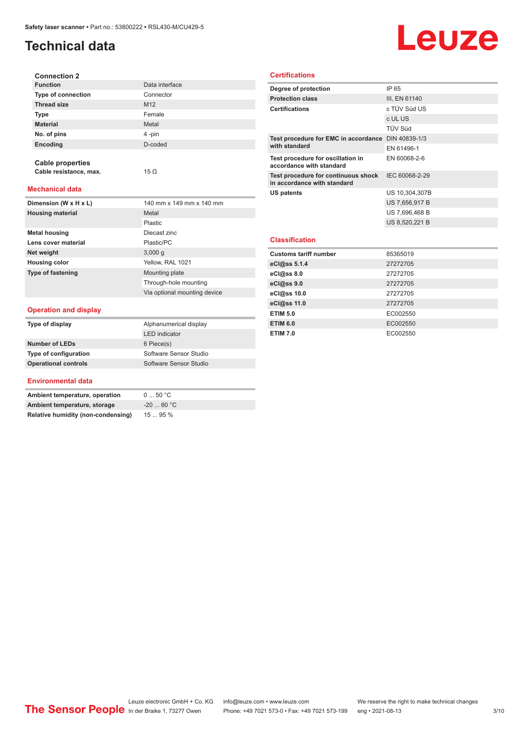# **Technical data**

# Leuze

| <b>Connection 2</b>       |                 |
|---------------------------|-----------------|
| <b>Function</b>           | Data interface  |
| <b>Type of connection</b> | Connector       |
| <b>Thread size</b>        | M <sub>12</sub> |
| <b>Type</b>               | Female          |
| <b>Material</b>           | Metal           |
| No. of pins               | 4-pin           |
| Encoding                  | D-coded         |
|                           |                 |

**Cable properties Cable resistance, max.** 15 Ω

#### **Mechanical data**

| Dimension (W x H x L)    | 140 mm x 149 mm x 140 mm     |
|--------------------------|------------------------------|
| <b>Housing material</b>  | Metal                        |
|                          | Plastic                      |
| <b>Metal housing</b>     | Diecast zinc                 |
| Lens cover material      | Plastic/PC                   |
| Net weight               | 3,000q                       |
| <b>Housing color</b>     | Yellow, RAL 1021             |
| <b>Type of fastening</b> | Mounting plate               |
|                          | Through-hole mounting        |
|                          | Via optional mounting device |

#### **Operation and display**

| Type of display             | Alphanumerical display |
|-----------------------------|------------------------|
|                             | <b>LED</b> indicator   |
| Number of LEDs              | 6 Piece(s)             |
| Type of configuration       | Software Sensor Studio |
| <b>Operational controls</b> | Software Sensor Studio |

#### **Environmental data**

| Ambient temperature, operation     | $0 \dots 50$ °C |
|------------------------------------|-----------------|
| Ambient temperature, storage       | $-2060 °C$      |
| Relative humidity (non-condensing) | 1595%           |

### **Certifications**

| Degree of protection                                               | IP 65          |
|--------------------------------------------------------------------|----------------|
| <b>Protection class</b>                                            | III, EN 61140  |
| <b>Certifications</b>                                              | c TÜV Süd US   |
|                                                                    | c UL US        |
|                                                                    | <b>TÜV Süd</b> |
| Test procedure for EMC in accordance DIN 40839-1/3                 |                |
| with standard                                                      | EN 61496-1     |
| Test procedure for oscillation in<br>accordance with standard      | EN 60068-2-6   |
| Test procedure for continuous shock<br>in accordance with standard | IEC 60068-2-29 |
| <b>US patents</b>                                                  | US 10,304,307B |
|                                                                    | US 7,656,917 B |
|                                                                    | US 7,696,468 B |
|                                                                    | US 8,520,221 B |
|                                                                    |                |
| <b>Classification</b>                                              |                |
| <b>Customs tariff number</b>                                       | 85365019       |
| eCl@ss 5.1.4                                                       | 27272705       |
| eCl@ss 8.0                                                         | 27272705       |
| eCl@ss 9.0                                                         | 27272705       |
| eCl@ss 10.0                                                        | 27272705       |

**eCl@ss 11.0** 27272705 **ETIM 5.0** EC002550 **ETIM 6.0** EC002550 **ETIM 7.0** EC002550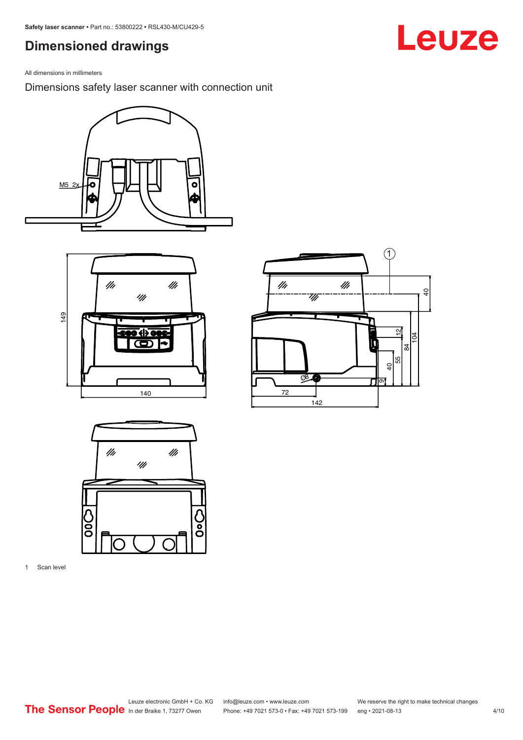# <span id="page-3-0"></span>**Dimensioned drawings**

All dimensions in millimeters

Dimensions safety laser scanner with connection unit









1 Scan level

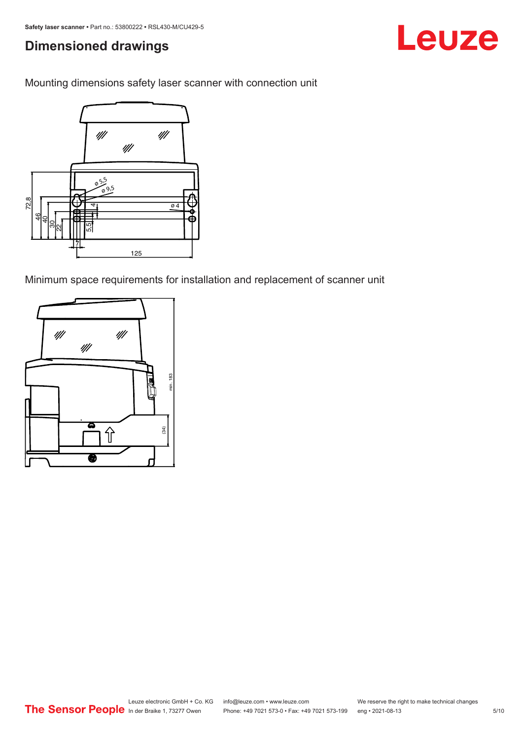# **Dimensioned drawings**

Mounting dimensions safety laser scanner with connection unit



Minimum space requirements for installation and replacement of scanner unit



Leuze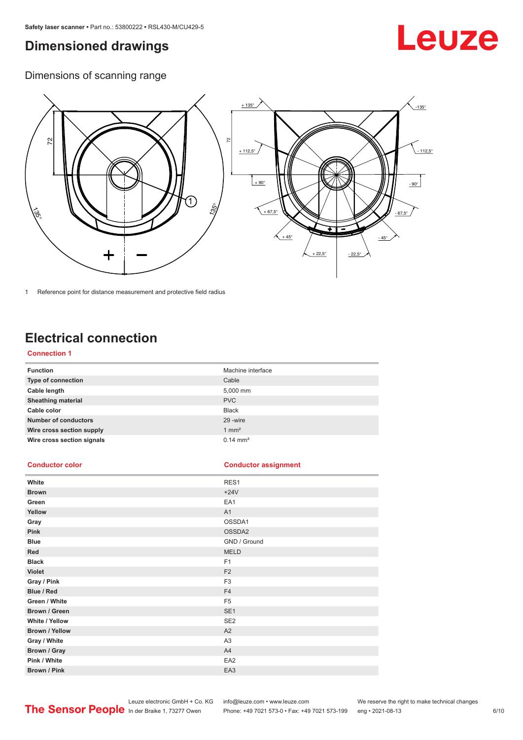# <span id="page-5-0"></span>**Dimensioned drawings**

# Leuze

Dimensions of scanning range



1 Reference point for distance measurement and protective field radius

# **Electrical connection**

### **Connection 1**

| <b>Function</b>             | Machine interface   |
|-----------------------------|---------------------|
| Type of connection          | Cable               |
| Cable length                | 5,000 mm            |
| <b>Sheathing material</b>   | <b>PVC</b>          |
| Cable color                 | <b>Black</b>        |
| <b>Number of conductors</b> | 29 - wire           |
| Wire cross section supply   | $1 \text{ mm}^2$    |
| Wire cross section signals  | $0.14 \text{ mm}^2$ |

#### **Conductor color Conductor assignment**

| White                 | RES1            |
|-----------------------|-----------------|
| <b>Brown</b>          | $+24V$          |
| Green                 | EA1             |
| Yellow                | A1              |
| Gray                  | OSSDA1          |
| Pink                  | OSSDA2          |
| <b>Blue</b>           | GND / Ground    |
| Red                   | <b>MELD</b>     |
| <b>Black</b>          | F1              |
| <b>Violet</b>         | F <sub>2</sub>  |
| Gray / Pink           | F <sub>3</sub>  |
| Blue / Red            | F <sub>4</sub>  |
| Green / White         | F <sub>5</sub>  |
| Brown / Green         | SE <sub>1</sub> |
| White / Yellow        | SE <sub>2</sub> |
| <b>Brown / Yellow</b> | A2              |
| Gray / White          | A <sub>3</sub>  |
| Brown / Gray          | A4              |
| Pink / White          | EA <sub>2</sub> |
| Brown / Pink          | EA3             |

Leuze electronic GmbH + Co. KG info@leuze.com • www.leuze.com We reserve the right to make technical changes

In der Braike 1, 73277 Owen Phone: +49 7021 573-0 • Fax: +49 7021 573-199 eng • 2021-08-13 6 /10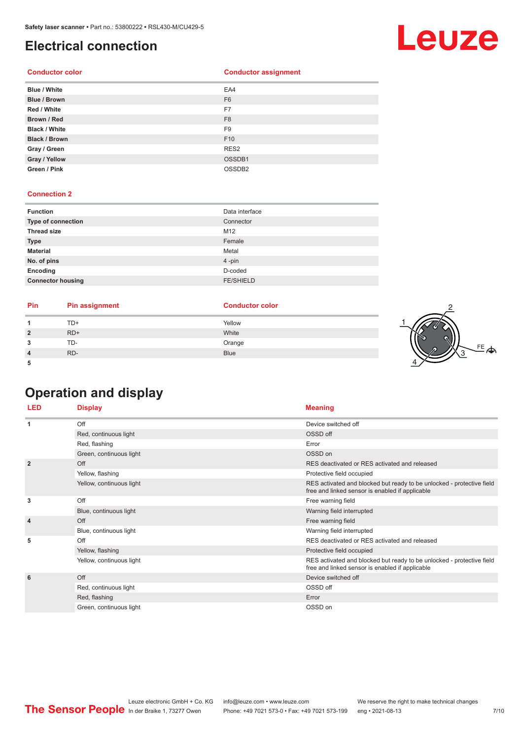# <span id="page-6-0"></span>**Electrical connection**

### **Conductor color Conductor assignment**

| Blue / White         | EA4                |
|----------------------|--------------------|
| Blue / Brown         | F <sub>6</sub>     |
| Red / White          | F7                 |
| Brown / Red          | F <sub>8</sub>     |
| <b>Black / White</b> | F <sub>9</sub>     |
| <b>Black / Brown</b> | F <sub>10</sub>    |
| Gray / Green         | RES <sub>2</sub>   |
| Gray / Yellow        | OSSDB1             |
| Green / Pink         | OSSDB <sub>2</sub> |

#### **Connection 2**

| <b>Function</b>          | Data interface   |
|--------------------------|------------------|
| Type of connection       | Connector        |
| <b>Thread size</b>       | M12              |
| <b>Type</b>              | Female           |
| <b>Material</b>          | Metal            |
| No. of pins              | 4-pin            |
| Encoding                 | D-coded          |
| <b>Connector housing</b> | <b>FE/SHIELD</b> |

| Pin     | <b>Pin assignment</b> | <b>Conductor color</b> |  |
|---------|-----------------------|------------------------|--|
|         | TD+                   | Yellow                 |  |
| ຳ       | $RD+$                 | White                  |  |
| ໍາ<br>◡ | TD-                   | Orange                 |  |
|         | RD-                   | <b>Blue</b>            |  |
|         |                       |                        |  |

# **Operation and display**

| <b>LED</b>     | <b>Display</b>           | <b>Meaning</b>                                                                                                           |
|----------------|--------------------------|--------------------------------------------------------------------------------------------------------------------------|
| 1              | Off                      | Device switched off                                                                                                      |
|                | Red, continuous light    | OSSD off                                                                                                                 |
|                | Red, flashing            | Error                                                                                                                    |
|                | Green, continuous light  | OSSD on                                                                                                                  |
| $\overline{2}$ | Off                      | RES deactivated or RES activated and released                                                                            |
|                | Yellow, flashing         | Protective field occupied                                                                                                |
|                | Yellow, continuous light | RES activated and blocked but ready to be unlocked - protective field<br>free and linked sensor is enabled if applicable |
| 3              | Off                      | Free warning field                                                                                                       |
|                | Blue, continuous light   | Warning field interrupted                                                                                                |
| $\overline{4}$ | Off                      | Free warning field                                                                                                       |
|                | Blue, continuous light   | Warning field interrupted                                                                                                |
| 5              | Off                      | RES deactivated or RES activated and released                                                                            |
|                | Yellow, flashing         | Protective field occupied                                                                                                |
|                | Yellow, continuous light | RES activated and blocked but ready to be unlocked - protective field<br>free and linked sensor is enabled if applicable |
| 6              | Off                      | Device switched off                                                                                                      |
|                | Red, continuous light    | OSSD off                                                                                                                 |
|                | Red, flashing            | Error                                                                                                                    |
|                | Green, continuous light  | OSSD on                                                                                                                  |



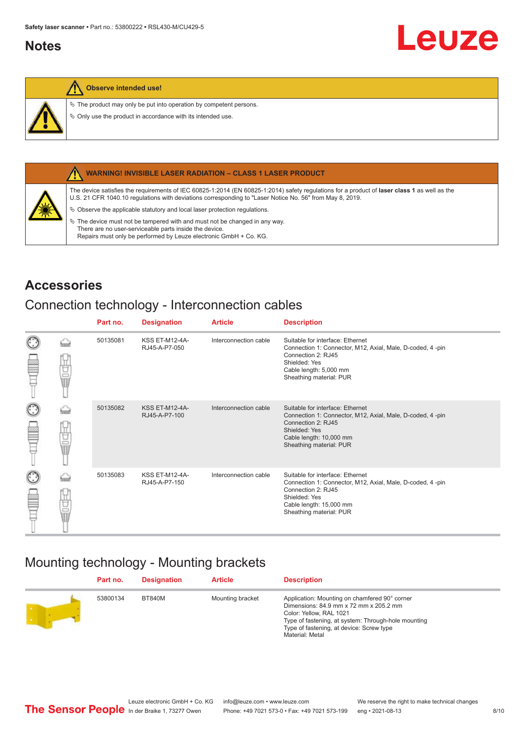## <span id="page-7-0"></span>**Notes**

### **Observe intended use!**

 $\&$  The product may only be put into operation by competent persons.

 $\%$  Only use the product in accordance with its intended use.



#### **WARNING! INVISIBLE LASER RADIATION – CLASS 1 LASER PRODUCT**

The device satisfies the requirements of IEC 60825-1:2014 (EN 60825-1:2014) safety regulations for a product of **laser class 1** as well as the U.S. 21 CFR 1040.10 regulations with deviations corresponding to "Laser Notice No. 56" from May 8, 2019.

 $\&$  Observe the applicable statutory and local laser protection regulations.

 $\%$  The device must not be tampered with and must not be changed in any way. There are no user-serviceable parts inside the device. Repairs must only be performed by Leuze electronic GmbH + Co. KG.

# **Accessories**

## Connection technology - Interconnection cables

|                      |    | Part no. | <b>Designation</b>                     | <b>Article</b>        | <b>Description</b>                                                                                                                                                                         |
|----------------------|----|----------|----------------------------------------|-----------------------|--------------------------------------------------------------------------------------------------------------------------------------------------------------------------------------------|
| $_{\odot}$           | 甘山 | 50135081 | <b>KSS ET-M12-4A-</b><br>RJ45-A-P7-050 | Interconnection cable | Suitable for interface: Ethernet<br>Connection 1: Connector, M12, Axial, Male, D-coded, 4-pin<br>Connection 2: RJ45<br>Shielded: Yes<br>Cable length: 5,000 mm<br>Sheathing material: PUR  |
| $_{\bigodot}$<br>œ   | 甘量 | 50135082 | <b>KSS ET-M12-4A-</b><br>RJ45-A-P7-100 | Interconnection cable | Suitable for interface: Ethernet<br>Connection 1: Connector, M12, Axial, Male, D-coded, 4-pin<br>Connection 2: RJ45<br>Shielded: Yes<br>Cable length: 10,000 mm<br>Sheathing material: PUR |
| $_{\mathbb{C}}$<br>Ê | 甘晶 | 50135083 | <b>KSS ET-M12-4A-</b><br>RJ45-A-P7-150 | Interconnection cable | Suitable for interface: Ethernet<br>Connection 1: Connector, M12, Axial, Male, D-coded, 4-pin<br>Connection 2: RJ45<br>Shielded: Yes<br>Cable length: 15,000 mm<br>Sheathing material: PUR |

# Mounting technology - Mounting brackets

| Part no. | <b>Designation</b> | <b>Article</b>   | <b>Description</b>                                                                                                                                                                                                                       |
|----------|--------------------|------------------|------------------------------------------------------------------------------------------------------------------------------------------------------------------------------------------------------------------------------------------|
| 53800134 | BT840M             | Mounting bracket | Application: Mounting on chamfered 90° corner<br>Dimensions: 84.9 mm x 72 mm x 205.2 mm<br>Color: Yellow, RAL 1021<br>Type of fastening, at system: Through-hole mounting<br>Type of fastening, at device: Screw type<br>Material: Metal |

Leuze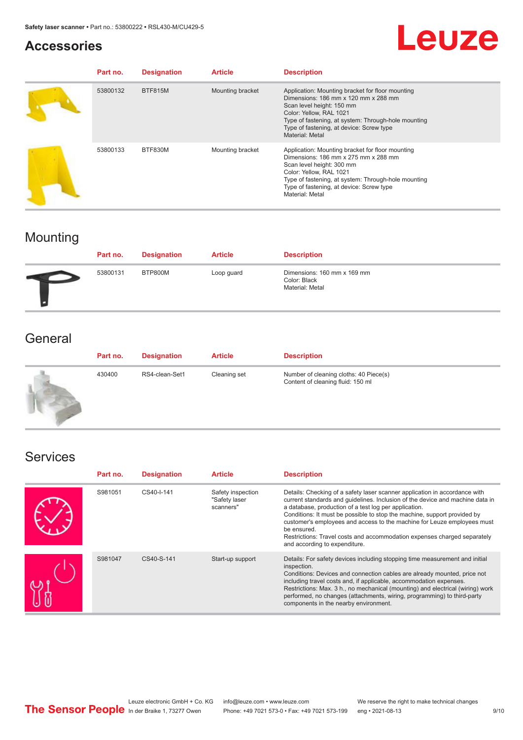## **Accessories**

# Leuze

| Part no. | <b>Designation</b> | <b>Article</b>   | <b>Description</b>                                                                                                                                                                                                                                                     |
|----------|--------------------|------------------|------------------------------------------------------------------------------------------------------------------------------------------------------------------------------------------------------------------------------------------------------------------------|
| 53800132 | BTF815M            | Mounting bracket | Application: Mounting bracket for floor mounting<br>Dimensions: 186 mm x 120 mm x 288 mm<br>Scan level height: 150 mm<br>Color: Yellow, RAL 1021<br>Type of fastening, at system: Through-hole mounting<br>Type of fastening, at device: Screw type<br>Material: Metal |
| 53800133 | BTF830M            | Mounting bracket | Application: Mounting bracket for floor mounting<br>Dimensions: 186 mm x 275 mm x 288 mm<br>Scan level height: 300 mm<br>Color: Yellow, RAL 1021<br>Type of fastening, at system: Through-hole mounting<br>Type of fastening, at device: Screw type<br>Material: Metal |

# Mounting

| Part no. | <b>Designation</b> | <b>Article</b> | <b>Description</b>                                             |
|----------|--------------------|----------------|----------------------------------------------------------------|
| 53800131 | BTP800M            | Loop guard     | Dimensions: 160 mm x 169 mm<br>Color: Black<br>Material: Metal |

# **General**

| Part no. | <b>Designation</b> | <b>Article</b> | <b>Description</b>                                                          |
|----------|--------------------|----------------|-----------------------------------------------------------------------------|
| 430400   | RS4-clean-Set1     | Cleaning set   | Number of cleaning cloths: 40 Piece(s)<br>Content of cleaning fluid: 150 ml |

# Services

| Part no. | <b>Designation</b> | <b>Article</b>                                  | <b>Description</b>                                                                                                                                                                                                                                                                                                                                                                                                                                                                                      |
|----------|--------------------|-------------------------------------------------|---------------------------------------------------------------------------------------------------------------------------------------------------------------------------------------------------------------------------------------------------------------------------------------------------------------------------------------------------------------------------------------------------------------------------------------------------------------------------------------------------------|
| S981051  | CS40-I-141         | Safety inspection<br>"Safety laser<br>scanners" | Details: Checking of a safety laser scanner application in accordance with<br>current standards and quidelines. Inclusion of the device and machine data in<br>a database, production of a test log per application.<br>Conditions: It must be possible to stop the machine, support provided by<br>customer's employees and access to the machine for Leuze employees must<br>be ensured.<br>Restrictions: Travel costs and accommodation expenses charged separately<br>and according to expenditure. |
| S981047  | CS40-S-141         | Start-up support                                | Details: For safety devices including stopping time measurement and initial<br>inspection.<br>Conditions: Devices and connection cables are already mounted, price not<br>including travel costs and, if applicable, accommodation expenses.<br>Restrictions: Max. 3 h., no mechanical (mounting) and electrical (wiring) work<br>performed, no changes (attachments, wiring, programming) to third-party<br>components in the nearby environment.                                                      |